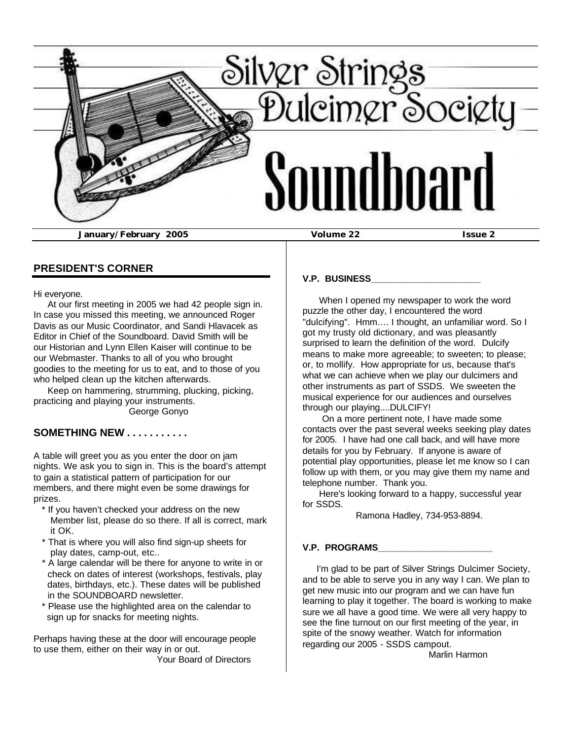

**PRESIDENT'S CORNER**

Hi everyone.

 At our first meeting in 2005 we had 42 people sign in. In case you missed this meeting, we announced Roger Davis as our Music Coordinator, and Sandi Hlavacek as Editor in Chief of the Soundboard. David Smith will be our Historian and Lynn Ellen Kaiser will continue to be our Webmaster. Thanks to all of you who brought goodies to the meeting for us to eat, and to those of you who helped clean up the kitchen afterwards.

 Keep on hammering, strumming, plucking, picking, practicing and playing your instruments. George Gonyo

## **SOMETHING NEW . . . . . . . . . . .**

A table will greet you as you enter the door on jam nights. We ask you to sign in. This is the board's attempt to gain a statistical pattern of participation for our members, and there might even be some drawings for prizes.

- \* If you haven't checked your address on the new Member list, please do so there. If all is correct, mark it OK.
- That is where you will also find sign-up sheets for play dates, camp-out, etc..
- \* A large calendar will be there for anyone to write in or check on dates of interest (workshops, festivals, play dates, birthdays, etc.). These dates will be published in the SOUNDBOARD newsletter.
- \* Please use the highlighted area on the calendar to sign up for snacks for meeting nights.

Perhaps having these at the door will encourage people to use them, either on their way in or out.

Your Board of Directors

## **V.P. BUSINESS\_\_\_\_\_\_\_\_\_\_\_\_\_\_\_\_\_\_\_\_\_\_**

 When I opened my newspaper to work the word puzzle the other day, I encountered the word "dulcifying". Hmm…. I thought, an unfamiliar word. So I got my trusty old dictionary, and was pleasantly surprised to learn the definition of the word. Dulcify means to make more agreeable; to sweeten; to please; or, to mollify. How appropriate for us, because that's what we can achieve when we play our dulcimers and other instruments as part of SSDS. We sweeten the musical experience for our audiences and ourselves through our playing....DULCIFY!

 On a more pertinent note, I have made some contacts over the past several weeks seeking play dates for 2005. I have had one call back, and will have more details for you by February. If anyone is aware of potential play opportunities, please let me know so I can follow up with them, or you may give them my name and telephone number. Thank you.

 Here's looking forward to a happy, successful year for SSDS.

Ramona Hadley, 734-953-8894.

#### **V.P. PROGRAMS\_\_\_\_\_\_\_\_\_\_\_\_\_\_\_\_\_\_\_\_\_\_\_**

 I'm glad to be part of Silver Strings Dulcimer Society, and to be able to serve you in any way I can. We plan to get new music into our program and we can have fun learning to play it together. The board is working to make sure we all have a good time. We were all very happy to see the fine turnout on our first meeting of the year, in spite of the snowy weather. Watch for information regarding our 2005 - SSDS campout.

Marlin Harmon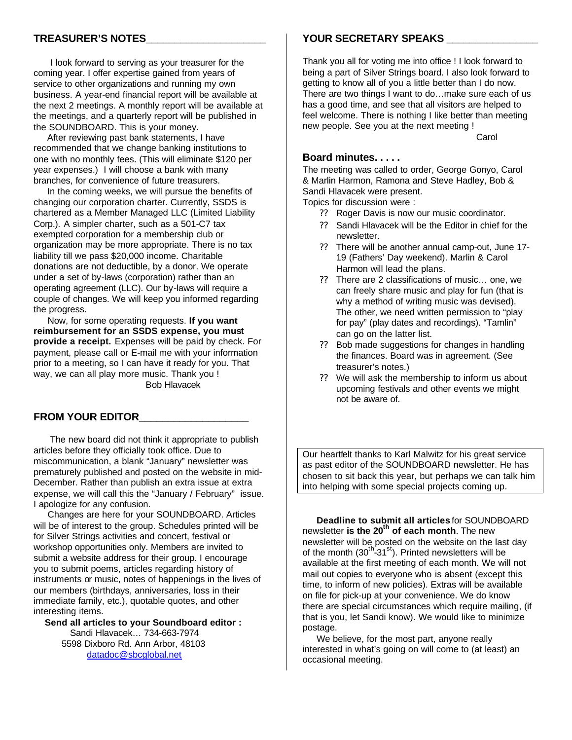### **TREASURER'S NOTES\_\_\_\_\_\_\_\_\_\_\_\_\_\_\_\_\_\_\_\_\_**

 I look forward to serving as your treasurer for the coming year. I offer expertise gained from years of service to other organizations and running my own business. A year-end financial report will be available at the next 2 meetings. A monthly report will be available at the meetings, and a quarterly report will be published in the SOUNDBOARD. This is your money.

 After reviewing past bank statements, I have recommended that we change banking institutions to one with no monthly fees. (This will eliminate \$120 per year expenses.) I will choose a bank with many branches, for convenience of future treasurers.

 In the coming weeks, we will pursue the benefits of changing our corporation charter. Currently, SSDS is chartered as a Member Managed LLC (Limited Liability Corp.). A simpler charter, such as a 501-C7 tax exempted corporation for a membership club or organization may be more appropriate. There is no tax liability till we pass \$20,000 income. Charitable donations are not deductible, by a donor. We operate under a set of by-laws (corporation) rather than an operating agreement (LLC). Our by-laws will require a couple of changes. We will keep you informed regarding the progress.

 Now, for some operating requests. **If you want reimbursement for an SSDS expense, you must provide a receipt.** Expenses will be paid by check. For payment, please call or E-mail me with your information prior to a meeting, so I can have it ready for you. That way, we can all play more music. Thank you ! Bob Hlavacek

#### **FROM YOUR EDITOR\_\_\_\_\_\_\_\_\_\_\_\_\_\_\_\_\_\_\_**

 The new board did not think it appropriate to publish articles before they officially took office. Due to miscommunication, a blank "January" newsletter was prematurely published and posted on the website in mid-December. Rather than publish an extra issue at extra expense, we will call this the "January / February" issue. I apologize for any confusion.

 Changes are here for your SOUNDBOARD. Articles will be of interest to the group. Schedules printed will be for Silver Strings activities and concert, festival or workshop opportunities only. Members are invited to submit a website address for their group. I encourage you to submit poems, articles regarding history of instruments or music, notes of happenings in the lives of our members (birthdays, anniversaries, loss in their immediate family, etc.), quotable quotes, and other interesting items.

 **Send all articles to your Soundboard editor :**  Sandi Hlavacek… 734-663-7974 5598 Dixboro Rd. Ann Arbor, 48103 datadoc@sbcglobal.net

#### **YOUR SECRETARY SPEAKS \_\_\_\_\_\_\_\_\_\_\_\_\_\_\_\_**

Thank you all for voting me into office ! I look forward to being a part of Silver Strings board. I also look forward to getting to know all of you a little better than I do now. There are two things I want to do…make sure each of us has a good time, and see that all visitors are helped to feel welcome. There is nothing I like better than meeting new people. See you at the next meeting !

**Carol** Carol Carol Carol Carol Carol Carol

#### **Board minutes. . . . .**

The meeting was called to order, George Gonyo, Carol & Marlin Harmon, Ramona and Steve Hadley, Bob & Sandi Hlavacek were present.

Topics for discussion were :

- ?? Roger Davis is now our music coordinator.
- ?? Sandi Hlavacek will be the Editor in chief for the newsletter.
- ?? There will be another annual camp-out, June 17- 19 (Fathers' Day weekend). Marlin & Carol Harmon will lead the plans.
- ?? There are 2 classifications of music… one, we can freely share music and play for fun (that is why a method of writing music was devised). The other, we need written permission to "play for pay" (play dates and recordings). "Tamlin" can go on the latter list.
- ?? Bob made suggestions for changes in handling the finances. Board was in agreement. (See treasurer's notes.)
- ?? We will ask the membership to inform us about upcoming festivals and other events we might not be aware of.

Our heartfelt thanks to Karl Malwitz for his great service as past editor of the SOUNDBOARD newsletter. He has chosen to sit back this year, but perhaps we can talk him into helping with some special projects coming up.

 **Deadline to submit all articles** for SOUNDBOARD newsletter **is the 20th of each month**. The new newsletter will be posted on the website on the last day of the month (30<sup>th</sup>-31<sup>st</sup>). Printed newsletters will be available at the first meeting of each month. We will not mail out copies to everyone who is absent (except this time, to inform of new policies). Extras will be available on file for pick-up at your convenience. We do know there are special circumstances which require mailing, (if that is you, let Sandi know). We would like to minimize postage.

We believe, for the most part, anyone really interested in what's going on will come to (at least) an occasional meeting.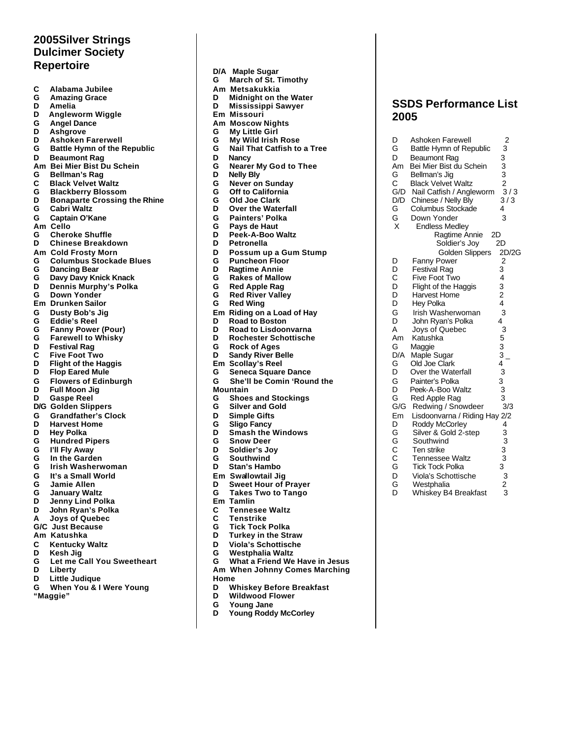## **2005Silver Strings Dulcimer Society Repertoire**

| C      | Alabama Jubilee                                       |
|--------|-------------------------------------------------------|
| G<br>D | <b>Amazing Grace</b><br>Amelia                        |
| D      | Angleworm Wiggle                                      |
| G      | <b>Angel Dance</b>                                    |
| D      | Ashgrove                                              |
| D      | <b>Ashoken Farerwell</b>                              |
| G      | <b>Battle Hymn of the Republic</b>                    |
| D      | <b>Beaumont Rag</b>                                   |
| Am     | <b>Bei Mier Bist Du Schein</b>                        |
| G      | <b>Bellman's Rag</b>                                  |
| Ć      | <b>Black Velvet Waltz</b>                             |
| G      | <b>Blackberry Blossom</b>                             |
| D      | <b>Bonaparte Crossing the Rhir</b>                    |
| G      | Cabri Waltz                                           |
| G      | Captain O'Kane                                        |
| Am     | Cello                                                 |
| G      | <b>Cheroke Shuffle</b>                                |
| D      | <b>Chinese Breakdown</b>                              |
| Am     | <b>Cold Frosty Morn</b>                               |
| G<br>G | <b>Columbus Stockade Blues</b><br><b>Dancing Bear</b> |
| G      | Davy Davy Knick Knack                                 |
| D      | Dennis Murphy's Polka                                 |
| G      | Down Yonder                                           |
| Em     | <b>Drunken Sailor</b>                                 |
| G      | Dusty Bob's Jig                                       |
| G      | <b>Eddie's Reel</b>                                   |
| G      | <b>Fanny Power (Pour)</b>                             |
| G      | <b>Farewell to Whisky</b>                             |
| D      | <b>Festival Rag</b>                                   |
| C      | <b>Five Foot Two</b>                                  |
| D      | <b>Flight of the Haggis</b>                           |
| D      | <b>Flop Eared Mule</b>                                |
| G<br>D | <b>Flowers of Edinburgh</b>                           |
| D      | <b>Full Moon Jig</b><br><b>Gaspe Reel</b>             |
| D/G    | <b>Golden Slippers</b>                                |
| G      | <b>Grandfather's Clock</b>                            |
| D      | <b>Harvest Home</b>                                   |
| D      | <b>Hey Polka</b>                                      |
| G      | <b>Hundred Pipers</b>                                 |
| G      | I'll Fly Away                                         |
| G      | In the Garden                                         |
| G      | Irish Washerwoman                                     |
| G      | It's a Small World                                    |
| G      | Jamie Allen                                           |
| G      | <b>January Waltz</b>                                  |
| D<br>D | Jenny Lind Polka                                      |
| A      | John Ryan's Polka<br><b>Joys of Quebec</b>            |
| G/C    | <b>Just Because</b>                                   |
|        | Am Katushka                                           |
| C      | <b>Kentucky Waltz</b>                                 |
| D      | Kesh Jig                                              |
| G      | Let me Call You Sweetheart                            |
| D      | Liberty                                               |

**Rhine** 

- **D Little Judique**
- **G When You & I Were Young**
- **"Maggie"**
- **D/A Maple Sugar G March of St. Timothy Am Metsakukkia D Midnight on the Water D Mississippi Sawyer Em Missouri Am Moscow Nights My Little Girl G My Wild Irish Rose G Nail That Catfish to a Tree D Nancy G Nearer My God to Thee D Nelly Bly G Never on Sunday G Off to California G Old Joe Clark D Over the Waterfall G Painters' Polka G Pays de Haut D Peek-A-Boo Waltz D Petronella D Possum up a Gum Stump G Puncheon Floor D Ragtime Annie G Rakes of Mallow G Red Apple Rag G Red River Valley G Red Wing Em Riding on a Load of Hay D Road to Boston D Road to Lisdoonvarna D Rochester Schottische G Rock of Ages Sandy River Belle Em Scollay's Reel G Seneca Square Dance Mountain G Shoes and Stockings G Silver and Gold D Simple Gifts G Sligo Fancy D Smash the Windows G Snow Deer D Soldier's Joy G Southwind Stan's Hambo Em Swallowtail Jig D Sweet Hour of Prayer G Takes Two to Tango Em Tamlin C Tennesee Waltz**
- 
- 
- **G Tick Tock Polka**
- **D Turkey in the Straw**
- **D Viola's Schottische**
- 
- 
- 
- **Home**
- **D Whiskey Before Breakfast**
- **Wildwood Flower**
- 
- **G Young Jane D Young Roddy McCorley**

## **SSDS Performance List 2005**

| D                          | Ashoken Farewell              | $2$<br>3<br>3<br>3<br>3<br>2<br>3<br>/3                                   |
|----------------------------|-------------------------------|---------------------------------------------------------------------------|
| G                          | Battle Hymn of Republic       |                                                                           |
| D                          | <b>Beaumont Rag</b>           |                                                                           |
| Am                         | Bei Mier Bist du Schein       |                                                                           |
| G<br>C<br>G/D<br>-         | Bellman's Jig                 |                                                                           |
|                            | <b>Black Velvet Waltz</b>     |                                                                           |
|                            | Nail Catfish / Angleworm      |                                                                           |
|                            | Chinese / Nelly Bly           | 3/3                                                                       |
| D/D<br>G<br>G<br>X         | Columbus Stockade             | 4                                                                         |
|                            | Down Yonder                   | 3                                                                         |
|                            | <b>Endless Medley</b>         |                                                                           |
|                            | Ragtime Annie<br>2D           |                                                                           |
|                            | Soldier's Joy                 | 2D                                                                        |
|                            | <b>Golden Slippers</b>        | 2D/2G                                                                     |
| D                          | Fanny Power                   | $\overline{c}$                                                            |
|                            | <b>Festival Rag</b>           |                                                                           |
|                            | Five Foot Two                 |                                                                           |
|                            | Flight of the Haggis          |                                                                           |
|                            | <b>Harvest Home</b>           |                                                                           |
|                            | <b>Hey Polka</b>              |                                                                           |
|                            | Irish Washerwoman             |                                                                           |
|                            | John Ryan's Polka             | $34324$<br>$434$                                                          |
| A                          | Joys of Quebec                | 3<br>$3^{3^{1^{1^{1^{1^{1^{3^{1^{3^{1^{3^{3^{3^{3^{3^{2^{2}}}}}}}}}}}}}}$ |
| Am                         | Katushka                      |                                                                           |
| g<br>D/A                   | Maggie                        |                                                                           |
|                            | Maple Sugar                   |                                                                           |
|                            | Old Joe Clark                 |                                                                           |
| G<br>D<br>G<br>G<br>G<br>G | Over the Waterfall            |                                                                           |
|                            | Painter's Polka               |                                                                           |
|                            | Peek-A-Boo Waltz              |                                                                           |
|                            | Red Apple Rag                 |                                                                           |
|                            | Redwing / Snowdeer            |                                                                           |
|                            | Lisdoonvarna / Riding Hay 2/2 |                                                                           |
|                            | Roddy McCorley                |                                                                           |
|                            | Silver & Gold 2-step          |                                                                           |
|                            | Southwind                     |                                                                           |
| Em<br>DGGCCGDG<br>DG       | Ten strike                    | $\begin{array}{c}\n4 & 3 \\ 3 & 3 \\ 2 & 3\n\end{array}$                  |
|                            | <b>Tennessee Waltz</b>        |                                                                           |
|                            | <b>Tick Tock Polka</b>        |                                                                           |
|                            | Viola's Schottische           |                                                                           |
|                            | Westphalia                    |                                                                           |

D Whiskey B4 Breakfast 3

- - **G She'll be Comin 'Round the**

- **C Tenstrike**
- 
- 
- 
- **G Westphalia Waltz**
- **G What a Friend We Have in Jesus**
- **Am When Johnny Comes Marching**
-